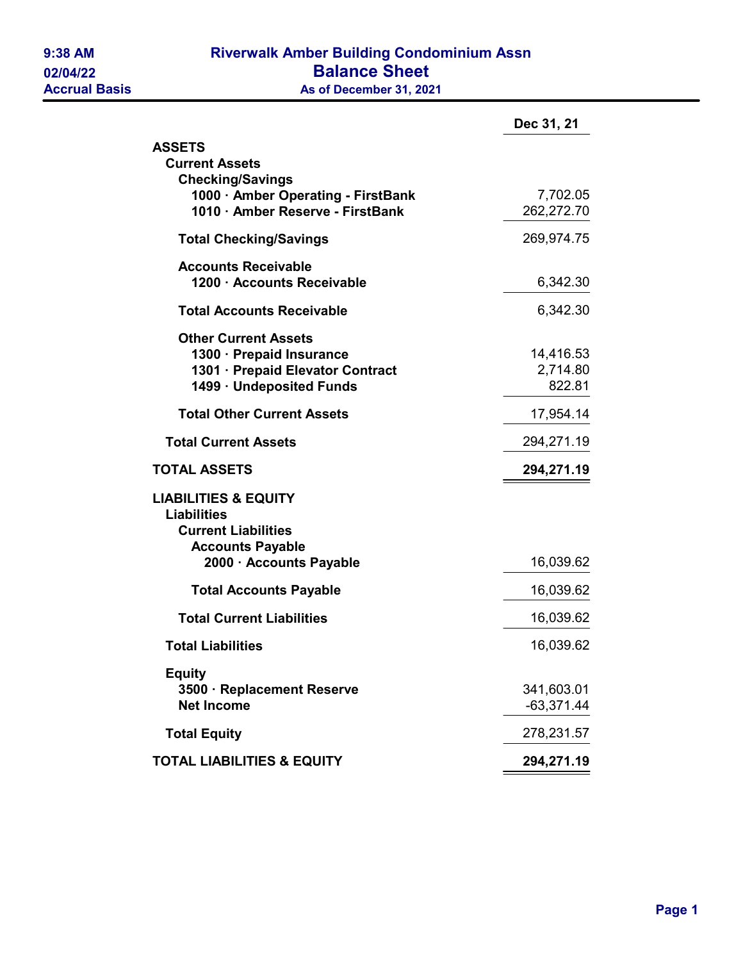## 9:38 AM Riverwalk Amber Building Condominium Assn 02/04/22 **Balance Sheet**<br>Accrual Basis **Balance Sheet**<br>As of December 31, 202 As of December 31, 2021

| Dec 31, 21   |
|--------------|
|              |
|              |
| 7,702.05     |
| 262,272.70   |
| 269,974.75   |
|              |
| 6,342.30     |
| 6,342.30     |
|              |
| 14,416.53    |
| 2,714.80     |
| 822.81       |
| 17,954.14    |
| 294,271.19   |
| 294,271.19   |
|              |
|              |
|              |
|              |
| 16,039.62    |
| 16,039.62    |
| 16,039.62    |
| 16,039.62    |
|              |
| 341,603.01   |
| $-63,371.44$ |
| 278,231.57   |
| 294,271.19   |
|              |